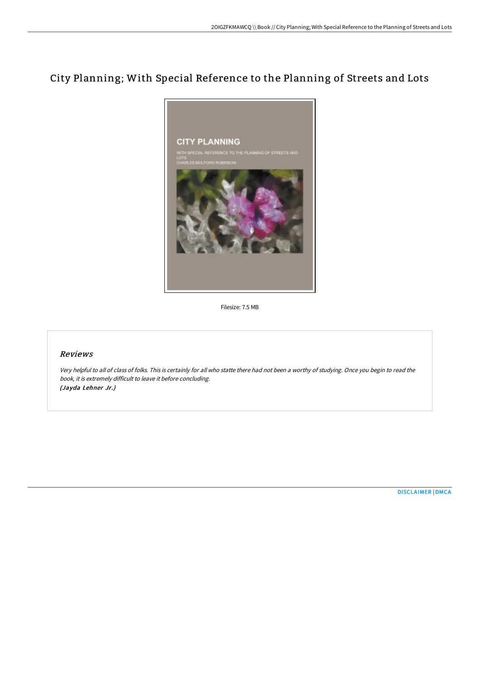# City Planning; With Special Reference to the Planning of Streets and Lots



Filesize: 7.5 MB

## Reviews

Very helpful to all of class of folks. This is certainly for all who statte there had not been <sup>a</sup> worthy of studying. Once you begin to read the book, it is extremely difficult to leave it before concluding. (Jayda Lehner Jr.)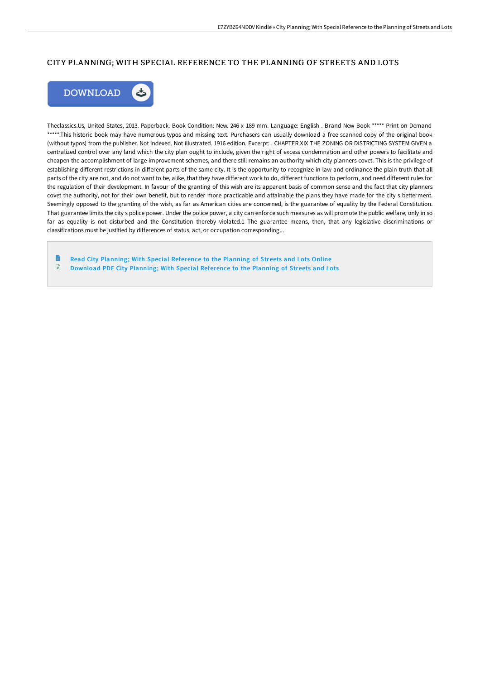### CITY PLANNING; WITH SPECIAL REFERENCE TO THE PLANNING OF STREETS AND LOTS



Theclassics.Us, United States, 2013. Paperback. Book Condition: New. 246 x 189 mm. Language: English . Brand New Book \*\*\*\*\* Print on Demand \*\*\*\*\*.This historic book may have numerous typos and missing text. Purchasers can usually download a free scanned copy of the original book (without typos) from the publisher. Not indexed. Not illustrated. 1916 edition. Excerpt: . CHAPTER XIX THE ZONING OR DISTRICTING SYSTEM GIVEN a centralized control over any land which the city plan ought to include, given the right of excess condemnation and other powers to facilitate and cheapen the accomplishment of large improvement schemes, and there still remains an authority which city planners covet. This is the privilege of establishing different restrictions in different parts of the same city. It is the opportunity to recognize in law and ordinance the plain truth that all parts of the city are not, and do not want to be, alike, that they have different work to do, different functions to perform, and need different rules for the regulation of their development. In favour of the granting of this wish are its apparent basis of common sense and the fact that city planners covet the authority, not for their own benefit, but to render more practicable and attainable the plans they have made for the city s betterment. Seemingly opposed to the granting of the wish, as far as American cities are concerned, is the guarantee of equality by the Federal Constitution. That guarantee limits the city s police power. Under the police power, a city can enforce such measures as will promote the public welfare, only in so far as equality is not disturbed and the Constitution thereby violated.1 The guarantee means, then, that any legislative discriminations or classifications must be justified by differences of status, act, or occupation corresponding...

Read City Planning; With Special [Reference](http://albedo.media/city-planning-with-special-reference-to-the-plan.html) to the Planning of Streets and Lots Online  $\mathbf{E}$ [Download](http://albedo.media/city-planning-with-special-reference-to-the-plan.html) PDF City Planning; With Special Reference to the Planning of Streets and Lots